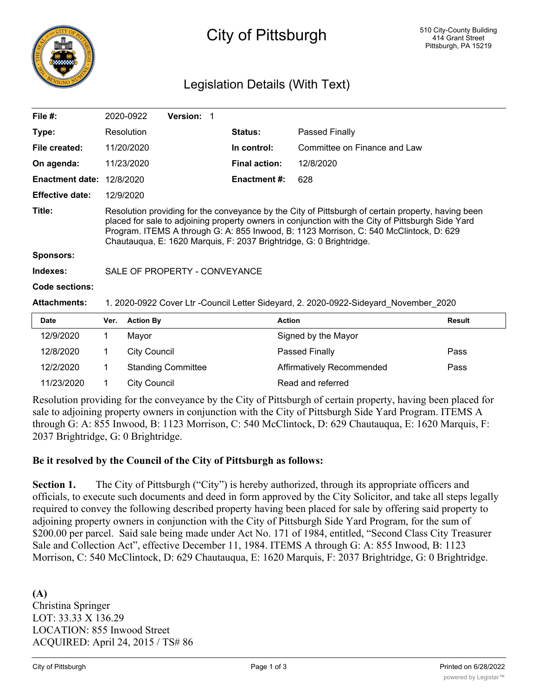

# City of Pittsburgh

## Legislation Details (With Text)

| File $#$ :             | 2020-0922                                                                                                                                                                                                                                                                                                                                                                | <b>Version:</b> |                      |                              |  |  |
|------------------------|--------------------------------------------------------------------------------------------------------------------------------------------------------------------------------------------------------------------------------------------------------------------------------------------------------------------------------------------------------------------------|-----------------|----------------------|------------------------------|--|--|
| Type:                  | Resolution                                                                                                                                                                                                                                                                                                                                                               |                 | <b>Status:</b>       | Passed Finally               |  |  |
| File created:          | 11/20/2020                                                                                                                                                                                                                                                                                                                                                               |                 | In control:          | Committee on Finance and Law |  |  |
| On agenda:             | 11/23/2020                                                                                                                                                                                                                                                                                                                                                               |                 | <b>Final action:</b> | 12/8/2020                    |  |  |
| <b>Enactment date:</b> | 12/8/2020                                                                                                                                                                                                                                                                                                                                                                |                 | Enactment #:         | 628                          |  |  |
| <b>Effective date:</b> | 12/9/2020                                                                                                                                                                                                                                                                                                                                                                |                 |                      |                              |  |  |
| Title:                 | Resolution providing for the conveyance by the City of Pittsburgh of certain property, having been<br>placed for sale to adjoining property owners in conjunction with the City of Pittsburgh Side Yard<br>Program. ITEMS A through G: A: 855 Inwood, B: 1123 Morrison, C: 540 McClintock, D: 629<br>Chautauqua, E: 1620 Marquis, F: 2037 Brightridge, G: 0 Brightridge. |                 |                      |                              |  |  |
| <b>Sponsors:</b>       |                                                                                                                                                                                                                                                                                                                                                                          |                 |                      |                              |  |  |
| Indexes:               | SALE OF PROPERTY - CONVEYANCE                                                                                                                                                                                                                                                                                                                                            |                 |                      |                              |  |  |
| <b>Code sections:</b>  |                                                                                                                                                                                                                                                                                                                                                                          |                 |                      |                              |  |  |
| <b>Attachments:</b>    | 1. 2020-0922 Cover Ltr - Council Letter Sideyard, 2. 2020-0922-Sideyard November 2020                                                                                                                                                                                                                                                                                    |                 |                      |                              |  |  |
| Dato                   | <b>Vor</b><br>Action By                                                                                                                                                                                                                                                                                                                                                  |                 | Action               | <b>Docult</b>                |  |  |

| <b>Date</b> | Ver. | <b>Action By</b>          | <b>Action</b>             | <b>Result</b> |
|-------------|------|---------------------------|---------------------------|---------------|
| 12/9/2020   |      | Mavor                     | Signed by the Mayor       |               |
| 12/8/2020   |      | City Council              | Passed Finally            | Pass          |
| 12/2/2020   |      | <b>Standing Committee</b> | Affirmatively Recommended | Pass          |
| 11/23/2020  |      | City Council              | Read and referred         |               |

Resolution providing for the conveyance by the City of Pittsburgh of certain property, having been placed for sale to adjoining property owners in conjunction with the City of Pittsburgh Side Yard Program. ITEMS A through G: A: 855 Inwood, B: 1123 Morrison, C: 540 McClintock, D: 629 Chautauqua, E: 1620 Marquis, F: 2037 Brightridge, G: 0 Brightridge.

#### **Be it resolved by the Council of the City of Pittsburgh as follows:**

**Section 1.** The City of Pittsburgh ("City") is hereby authorized, through its appropriate officers and officials, to execute such documents and deed in form approved by the City Solicitor, and take all steps legally required to convey the following described property having been placed for sale by offering said property to adjoining property owners in conjunction with the City of Pittsburgh Side Yard Program, for the sum of \$200.00 per parcel. Said sale being made under Act No. 171 of 1984, entitled, "Second Class City Treasurer Sale and Collection Act", effective December 11, 1984. ITEMS A through G: A: 855 Inwood, B: 1123 Morrison, C: 540 McClintock, D: 629 Chautauqua, E: 1620 Marquis, F: 2037 Brightridge, G: 0 Brightridge.

**(A)** Christina Springer LOT: 33.33 X 136.29 LOCATION: 855 Inwood Street ACQUIRED: April 24, 2015 / TS# 86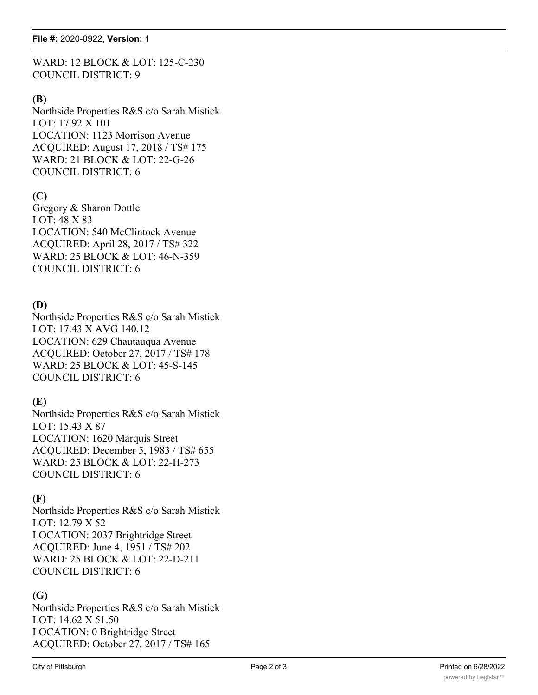WARD: 12 BLOCK & LOT: 125-C-230 COUNCIL DISTRICT: 9

#### **(B)**

Northside Properties R&S c/o Sarah Mistick LOT: 17.92 X 101 LOCATION: 1123 Morrison Avenue ACQUIRED: August 17, 2018 / TS# 175 WARD: 21 BLOCK & LOT: 22-G-26 COUNCIL DISTRICT: 6

## **(C)**

Gregory & Sharon Dottle LOT: 48 X 83 LOCATION: 540 McClintock Avenue ACQUIRED: April 28, 2017 / TS# 322 WARD: 25 BLOCK & LOT: 46-N-359 COUNCIL DISTRICT: 6

## **(D)**

Northside Properties R&S c/o Sarah Mistick LOT: 17.43 X AVG 140.12 LOCATION: 629 Chautauqua Avenue ACQUIRED: October 27, 2017 / TS# 178 WARD: 25 BLOCK & LOT: 45-S-145 COUNCIL DISTRICT: 6

## **(E)**

Northside Properties R&S c/o Sarah Mistick LOT: 15.43 X 87 LOCATION: 1620 Marquis Street ACQUIRED: December 5, 1983 / TS# 655 WARD: 25 BLOCK & LOT: 22-H-273 COUNCIL DISTRICT: 6

### **(F)**

Northside Properties R&S c/o Sarah Mistick LOT: 12.79 X 52 LOCATION: 2037 Brightridge Street ACQUIRED: June 4, 1951 / TS# 202 WARD: 25 BLOCK & LOT: 22-D-211 COUNCIL DISTRICT: 6

#### **(G)**

Northside Properties R&S c/o Sarah Mistick LOT: 14.62 X 51.50 LOCATION: 0 Brightridge Street ACQUIRED: October 27, 2017 / TS# 165